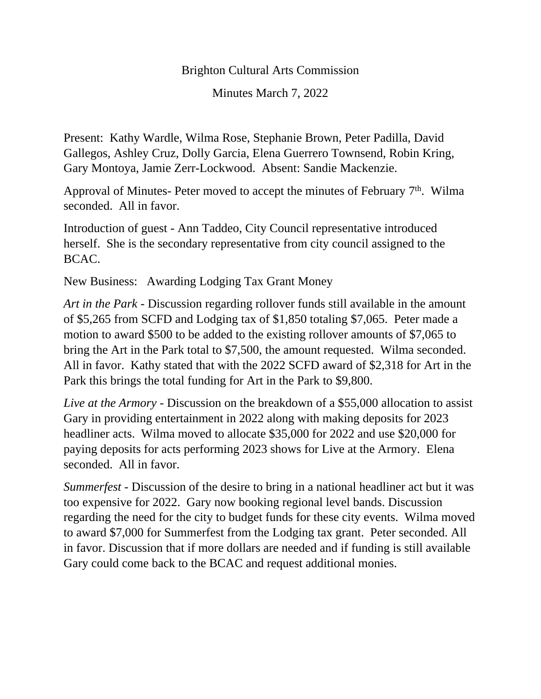## Brighton Cultural Arts Commission

Minutes March 7, 2022

Present: Kathy Wardle, Wilma Rose, Stephanie Brown, Peter Padilla, David Gallegos, Ashley Cruz, Dolly Garcia, Elena Guerrero Townsend, Robin Kring, Gary Montoya, Jamie Zerr-Lockwood. Absent: Sandie Mackenzie.

Approval of Minutes- Peter moved to accept the minutes of February  $7<sup>th</sup>$ . Wilma seconded. All in favor.

Introduction of guest - Ann Taddeo, City Council representative introduced herself. She is the secondary representative from city council assigned to the BCAC.

New Business: Awarding Lodging Tax Grant Money

*Art in the Park* - Discussion regarding rollover funds still available in the amount of \$5,265 from SCFD and Lodging tax of \$1,850 totaling \$7,065. Peter made a motion to award \$500 to be added to the existing rollover amounts of \$7,065 to bring the Art in the Park total to \$7,500, the amount requested. Wilma seconded. All in favor. Kathy stated that with the 2022 SCFD award of \$2,318 for Art in the Park this brings the total funding for Art in the Park to \$9,800.

*Live at the Armory* - Discussion on the breakdown of a \$55,000 allocation to assist Gary in providing entertainment in 2022 along with making deposits for 2023 headliner acts. Wilma moved to allocate \$35,000 for 2022 and use \$20,000 for paying deposits for acts performing 2023 shows for Live at the Armory. Elena seconded. All in favor.

*Summerfest -* Discussion of the desire to bring in a national headliner act but it was too expensive for 2022. Gary now booking regional level bands. Discussion regarding the need for the city to budget funds for these city events. Wilma moved to award \$7,000 for Summerfest from the Lodging tax grant. Peter seconded. All in favor. Discussion that if more dollars are needed and if funding is still available Gary could come back to the BCAC and request additional monies.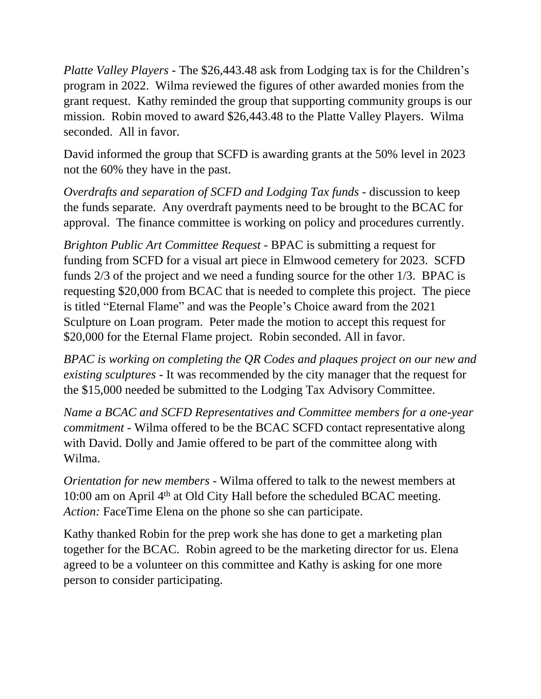*Platte Valley Players* - The \$26,443.48 ask from Lodging tax is for the Children's program in 2022. Wilma reviewed the figures of other awarded monies from the grant request. Kathy reminded the group that supporting community groups is our mission. Robin moved to award \$26,443.48 to the Platte Valley Players. Wilma seconded. All in favor.

David informed the group that SCFD is awarding grants at the 50% level in 2023 not the 60% they have in the past.

*Overdrafts and separation of SCFD and Lodging Tax funds* - discussion to keep the funds separate. Any overdraft payments need to be brought to the BCAC for approval. The finance committee is working on policy and procedures currently.

*Brighton Public Art Committee Request* - BPAC is submitting a request for funding from SCFD for a visual art piece in Elmwood cemetery for 2023. SCFD funds 2/3 of the project and we need a funding source for the other 1/3. BPAC is requesting \$20,000 from BCAC that is needed to complete this project. The piece is titled "Eternal Flame" and was the People's Choice award from the 2021 Sculpture on Loan program. Peter made the motion to accept this request for \$20,000 for the Eternal Flame project. Robin seconded. All in favor.

*BPAC is working on completing the QR Codes and plaques project on our new and existing sculptures -* It was recommended by the city manager that the request for the \$15,000 needed be submitted to the Lodging Tax Advisory Committee.

*Name a BCAC and SCFD Representatives and Committee members for a one-year commitment* - Wilma offered to be the BCAC SCFD contact representative along with David. Dolly and Jamie offered to be part of the committee along with Wilma.

*Orientation for new members* - Wilma offered to talk to the newest members at 10:00 am on April 4<sup>th</sup> at Old City Hall before the scheduled BCAC meeting. *Action:* FaceTime Elena on the phone so she can participate.

Kathy thanked Robin for the prep work she has done to get a marketing plan together for the BCAC. Robin agreed to be the marketing director for us. Elena agreed to be a volunteer on this committee and Kathy is asking for one more person to consider participating.